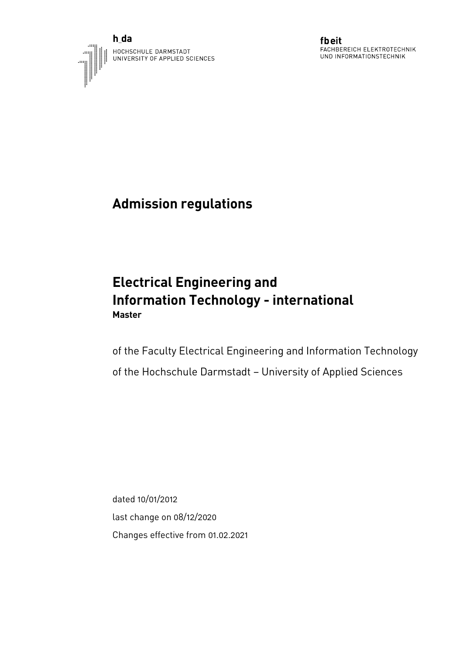



fbeit FACHBEREICH ELEKTROTECHNIK UND INFORMATIONSTECHNIK

# **Admission regulations**

## **Electrical Engineering and Information Technology - international Master**

of the Faculty Electrical Engineering and Information Technology of the Hochschule Darmstadt – University of Applied Sciences

dated 10/01/2012 last change on 08/12/2020 Changes effective from 01.02.2021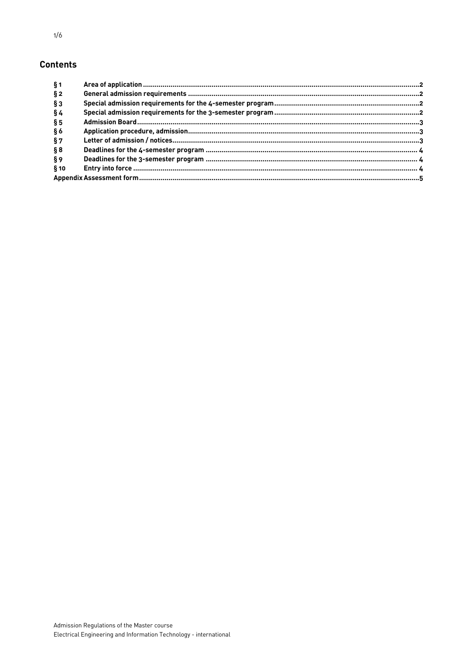#### **Contents**

| § 1    |  |
|--------|--|
| § 2    |  |
| $§$ 3  |  |
| §4     |  |
| § 5    |  |
| § 6    |  |
| §7     |  |
| § 8    |  |
| §9     |  |
| $§$ 10 |  |
|        |  |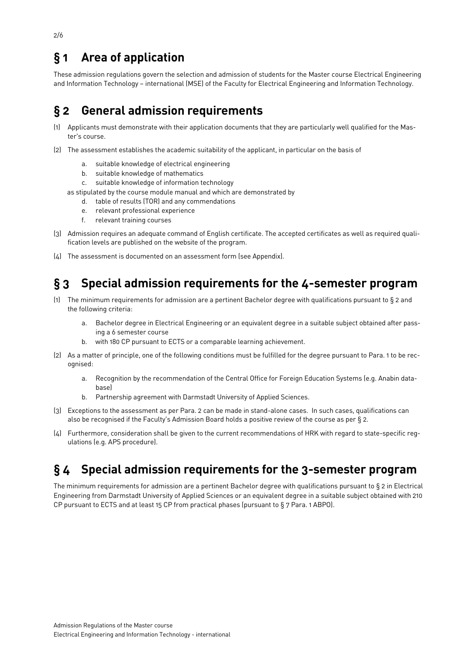## <span id="page-2-0"></span>**§ 1 Area of application**

These admission regulations govern the selection and admission of students for the Master course Electrical Engineering and Information Technology – international (MSE) of the Faculty for Electrical Engineering and Information Technology.

### <span id="page-2-1"></span>**§ 2 General admission requirements**

- (1) Applicants must demonstrate with their application documents that they are particularly well qualified for the Master's course.
- (2) The assessment establishes the academic suitability of the applicant, in particular on the basis of
	- a. suitable knowledge of electrical engineering
	- b. suitable knowledge of mathematics
	- c. suitable knowledge of information technology
	- as stipulated by the course module manual and which are demonstrated by
		- d. table of results (TOR) and any commendations
		- e. relevant professional experience
		- f. relevant training courses
- (3) Admission requires an adequate command of English certificate. The accepted certificates as well as required qualification levels are published on the website of the program.
- (4) The assessment is documented on an assessment form (see Appendix).

### <span id="page-2-2"></span>**§ 3 Special admission requirements for the 4-semester program**

- (1) The minimum requirements for admission are a pertinent Bachelor degree with qualifications pursuant to § 2 and the following criteria:
	- a. Bachelor degree in Electrical Engineering or an equivalent degree in a suitable subject obtained after passing a 6 semester course
	- b. with 180 CP pursuant to ECTS or a comparable learning achievement.
- (2) As a matter of principle, one of the following conditions must be fulfilled for the degree pursuant to Para. 1 to be recognised:
	- a. Recognition by the recommendation of the Central Office for Foreign Education Systems (e.g. Anabin database)
	- b. Partnership agreement with Darmstadt University of Applied Sciences.
- (3) Exceptions to the assessment as per Para. 2 can be made in stand-alone cases. In such cases, qualifications can also be recognised if the Faculty's Admission Board holds a positive review of the course as per § 2.
- (4) Furthermore, consideration shall be given to the current recommendations of HRK with regard to state-specific regulations (e.g. APS procedure).

### <span id="page-2-3"></span>**§ 4 Special admission requirements for the 3-semester program**

The minimum requirements for admission are a pertinent Bachelor degree with qualifications pursuant to § 2 in Electrical Engineering from Darmstadt University of Applied Sciences or an equivalent degree in a suitable subject obtained with 210 CP pursuant to ECTS and at least 15 CP from practical phases (pursuant to § 7 Para. 1 ABPO).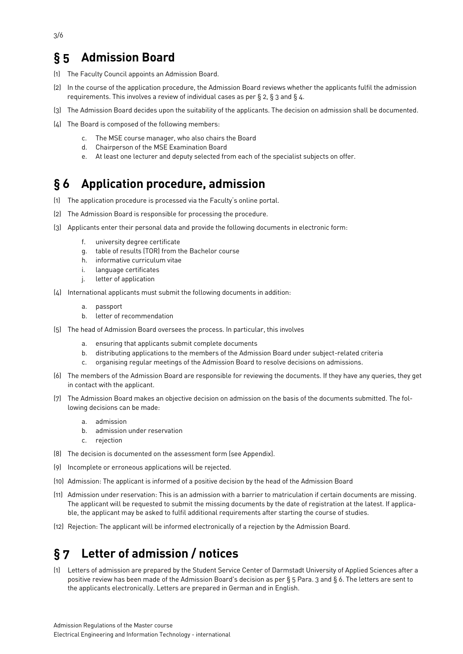## <span id="page-3-0"></span>**§ 5 Admission Board**

- (1) The Faculty Council appoints an Admission Board.
- (2) In the course of the application procedure, the Admission Board reviews whether the applicants fulfil the admission requirements. This involves a review of individual cases as per § 2, § 3 and § 4.
- (3) The Admission Board decides upon the suitability of the applicants. The decision on admission shall be documented.
- (4) The Board is composed of the following members:
	- c. The MSE course manager, who also chairs the Board
	- d. Chairperson of the MSE Examination Board
	- e. At least one lecturer and deputy selected from each of the specialist subjects on offer.

#### <span id="page-3-1"></span>**§ 6 Application procedure, admission**

- (1) The application procedure is processed via the Faculty's online portal.
- (2) The Admission Board is responsible for processing the procedure.
- (3) Applicants enter their personal data and provide the following documents in electronic form:
	- f. university degree certificate
	- g. table of results (TOR) from the Bachelor course
	- h. informative curriculum vitae
	- i. language certificates
	- j. letter of application
- (4) International applicants must submit the following documents in addition:
	- a. passport
	- b. letter of recommendation
- (5) The head of Admission Board oversees the process. In particular, this involves
	- a. ensuring that applicants submit complete documents
	- b. distributing applications to the members of the Admission Board under subject-related criteria
	- c. organising regular meetings of the Admission Board to resolve decisions on admissions.
- (6) The members of the Admission Board are responsible for reviewing the documents. If they have any queries, they get in contact with the applicant.
- (7) The Admission Board makes an objective decision on admission on the basis of the documents submitted. The following decisions can be made:
	- a. admission
	- b. admission under reservation
	- c. rejection
- (8) The decision is documented on the assessment form (see Appendix).
- (9) Incomplete or erroneous applications will be rejected.
- (10) Admission: The applicant is informed of a positive decision by the head of the Admission Board
- (11) Admission under reservation: This is an admission with a barrier to matriculation if certain documents are missing. The applicant will be requested to submit the missing documents by the date of registration at the latest. If applicable, the applicant may be asked to fulfil additional requirements after starting the course of studies.
- (12) Rejection: The applicant will be informed electronically of a rejection by the Admission Board.

### <span id="page-3-2"></span>**§ 7 Letter of admission / notices**

(1) Letters of admission are prepared by the Student Service Center of Darmstadt University of Applied Sciences after a positive review has been made of the Admission Board's decision as per § 5 Para. 3 and § 6. The letters are sent to the applicants electronically. Letters are prepared in German and in English.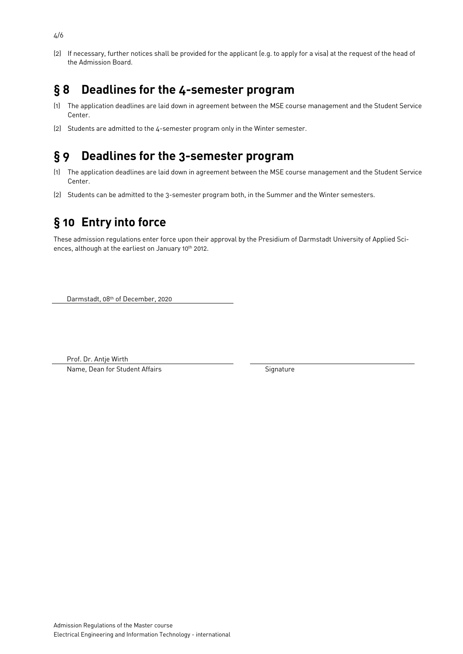(2) If necessary, further notices shall be provided for the applicant (e.g. to apply for a visa) at the request of the head of the Admission Board.

#### <span id="page-4-0"></span>**§ 8 Deadlines for the 4-semester program**

- (1) The application deadlines are laid down in agreement between the MSE course management and the Student Service Center.
- (2) Students are admitted to the 4-semester program only in the Winter semester.

#### <span id="page-4-1"></span>**§ 9 Deadlines for the 3-semester program**

- (1) The application deadlines are laid down in agreement between the MSE course management and the Student Service Center.
- (2) Students can be admitted to the 3-semester program both, in the Summer and the Winter semesters.

## <span id="page-4-2"></span>**§ 10 Entry into force**

These admission regulations enter force upon their approval by the Presidium of Darmstadt University of Applied Sciences, although at the earliest on January 10<sup>th</sup> 2012.

Darmstadt, 08th of December, 2020

Prof. Dr. Antje Wirth

Name, Dean for Student Affairs Signature